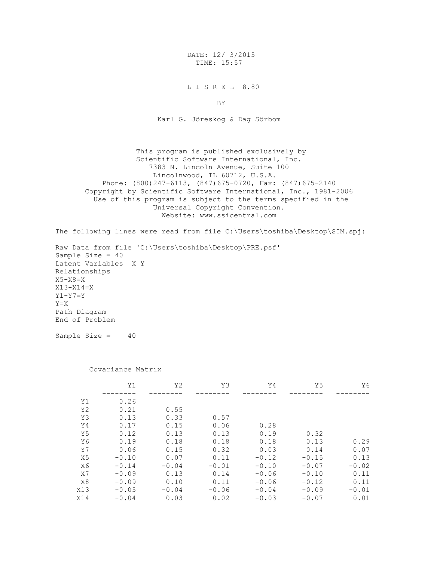DATE: 12/ 3/2015 TIME: 15:57

L I S R E L 8.80

BY

Karl G. Jöreskog & Dag Sörbom

 This program is published exclusively by Scientific Software International, Inc. 7383 N. Lincoln Avenue, Suite 100 Lincolnwood, IL 60712, U.S.A. Phone: (800)247-6113, (847)675-0720, Fax: (847)675-2140 Copyright by Scientific Software International, Inc., 1981-2006 Use of this program is subject to the terms specified in the Universal Copyright Convention. Website: www.ssicentral.com

The following lines were read from file C:\Users\toshiba\Desktop\SIM.spj:

Raw Data from file 'C:\Users\toshiba\Desktop\PRE.psf' Sample Size = 40 Latent Variables X Y Relationships X5-X8=X X13-X14=X Y1-Y7=Y Y=X Path Diagram End of Problem

Sample Size  $=$  40

## Covariance Matrix

|                | Υ1      | Y <sub>2</sub> | YЗ      | Y4      | Y5      | Y6      |
|----------------|---------|----------------|---------|---------|---------|---------|
|                |         |                |         |         |         |         |
| Y1             | 0.26    |                |         |         |         |         |
| Y <sub>2</sub> | 0.21    | 0.55           |         |         |         |         |
| Y3             | 0.13    | 0.33           | 0.57    |         |         |         |
| Y4             | 0.17    | 0.15           | 0.06    | 0.28    |         |         |
| Y5             | 0.12    | 0.13           | 0.13    | 0.19    | 0.32    |         |
| Y6             | 0.19    | 0.18           | 0.18    | 0.18    | 0.13    | 0.29    |
| Y7             | 0.06    | 0.15           | 0.32    | 0.03    | 0.14    | 0.07    |
| X5             | $-0.10$ | 0.07           | 0.11    | $-0.12$ | $-0.15$ | 0.13    |
| X6             | $-0.14$ | $-0.04$        | $-0.01$ | $-0.10$ | $-0.07$ | $-0.02$ |
| X7             | $-0.09$ | 0.13           | 0.14    | $-0.06$ | $-0.10$ | 0.11    |
| X8             | $-0.09$ | 0.10           | 0.11    | $-0.06$ | $-0.12$ | 0.11    |
| X13            | $-0.05$ | $-0.04$        | $-0.06$ | $-0.04$ | $-0.09$ | $-0.01$ |
| X14            | $-0.04$ | 0.03           | 0.02    | $-0.03$ | $-0.07$ | 0.01    |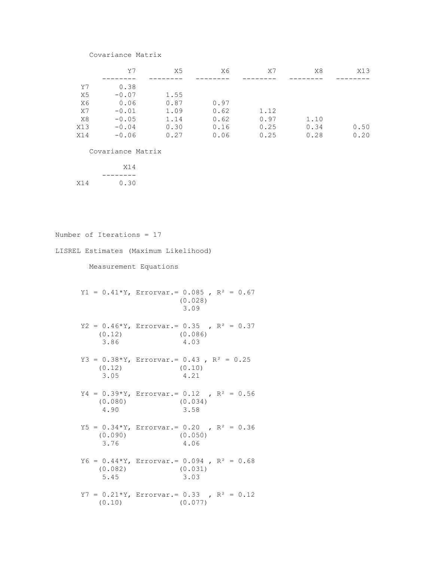## Covariance Matrix

|     | Y7      | Х5   | X6   | X7   | X8   | X13  |
|-----|---------|------|------|------|------|------|
|     |         |      |      |      |      |      |
| Y7  | 0.38    |      |      |      |      |      |
| X5  | $-0.07$ | 1.55 |      |      |      |      |
| X6  | 0.06    | 0.87 | 0.97 |      |      |      |
| X7  | $-0.01$ | 1.09 | 0.62 | 1.12 |      |      |
| X8  | $-0.05$ | 1.14 | 0.62 | 0.97 | 1.10 |      |
| X13 | $-0.04$ | 0.30 | 0.16 | 0.25 | 0.34 | 0.50 |
| X14 | $-0.06$ | 0.27 | 0.06 | 0.25 | 0.28 | 0.20 |

Covariance Matrix

 X14 -------- X14 0.30

```
Number of Iterations = 17
LISREL Estimates (Maximum Likelihood) 
       Measurement Equations
     Y1 = 0.41*Y, Errorvar. = 0.085, R^2 = 0.67 (0.028) 
                           3.09 
     Y2 = 0.46*Y, Errorvar. = 0.35 , R<sup>2</sup> = 0.37
          (0.12) (0.086) 
          3.86 4.03 
     Y3 = 0.38*Y, Errorvar. = 0.43, R^2 = 0.25(0.12) (0.10) 3.05 4.21 
     Y4 = 0.39*Y, Errorvar.= 0.12, R<sup>2</sup> = 0.56
          (0.080) (0.034) 
          4.90 3.58 
     Y5 = 0.34*Y, Errorvar. = 0.20 , R<sup>2</sup> = 0.36
          (0.090) (0.050) 
          3.76 4.06 
     Y6 = 0.44*Y, Errorvar. = 0.094, R^2 = 0.68 (0.082) (0.031) 
          5.45 3.03 
     Y7 = 0.21*Y, Errorvar. = 0.33, R<sup>2</sup> = 0.12
         (0.10) (0.077)
```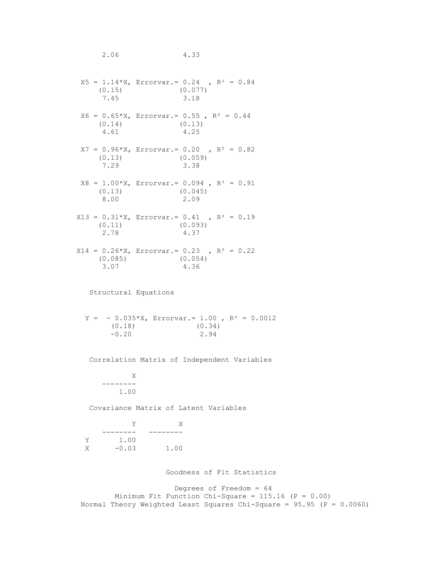2.06 4.33  $X5 = 1.14 \times X$ , Errorvar. = 0.24 , R<sup>2</sup> = 0.84 (0.15) (0.077) 7.45 3.18  $X6 = 0.65*X$ , Errorvar. = 0.55, R<sup>2</sup> = 0.44 (0.14) (0.13) 4.61 4.25  $X7 = 0.96*X$ , Errorvar. = 0.20 , R<sup>2</sup> = 0.82 (0.13) (0.059) 7.29 3.38  $X8 = 1.00*X$ , Errorvar. = 0.094, R<sup>2</sup> = 0.91 (0.13) (0.045) 8.00 2.09  $X13 = 0.31*X$ , Errorvar.= 0.41, R<sup>2</sup> = 0.19 (0.11) (0.093) 2.78 4.37  $X14 = 0.26*X$ , Errorvar.= 0.23, R<sup>2</sup> = 0.22 (0.085) (0.054) 3.07 4.36 Structural Equations  $Y = -0.035*X$ , Errorvar. = 1.00,  $R^2 = 0.0012$  (0.18) (0.34)  $-0.20$  2.94 Correlation Matrix of Independent Variables X -------- 1.00 Covariance Matrix of Latent Variables Y X -------- -------- Y 1.00 X -0.03 1.00 Goodness of Fit Statistics Degrees of Freedom = 64 Minimum Fit Function Chi-Square =  $115.16$  (P = 0.00) Normal Theory Weighted Least Squares Chi-Square = 95.95 (P = 0.0060)